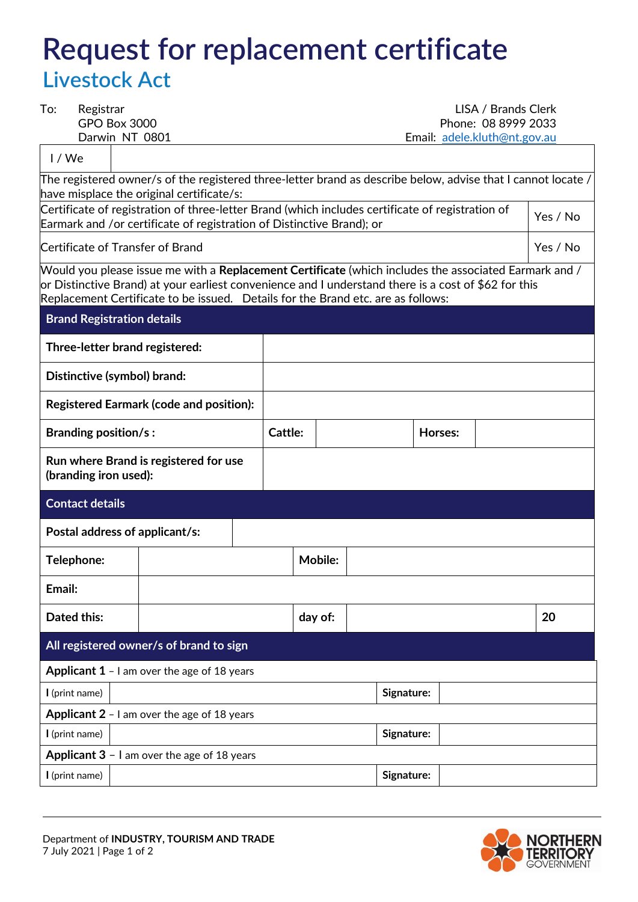## **Request for replacement certificate Livestock Act**

| To:<br>Registrar                                                                                                                                                                                                                                                                                         |                                                                       |                                                    |                |  | LISA / Brands Clerk |                                                                                                  |  |            |          |  |    |  |
|----------------------------------------------------------------------------------------------------------------------------------------------------------------------------------------------------------------------------------------------------------------------------------------------------------|-----------------------------------------------------------------------|----------------------------------------------------|----------------|--|---------------------|--------------------------------------------------------------------------------------------------|--|------------|----------|--|----|--|
|                                                                                                                                                                                                                                                                                                          | <b>GPO Box 3000</b><br>Darwin NT 0801                                 |                                                    |                |  | Phone: 08 8999 2033 |                                                                                                  |  |            |          |  |    |  |
| Email: adele.kluth@nt.gov.au                                                                                                                                                                                                                                                                             |                                                                       |                                                    |                |  |                     |                                                                                                  |  |            |          |  |    |  |
| 1/We                                                                                                                                                                                                                                                                                                     |                                                                       |                                                    |                |  |                     |                                                                                                  |  |            |          |  |    |  |
| / The registered owner/s of the registered three-letter brand as describe below, advise that I cannot locate<br>have misplace the original certificate/s:                                                                                                                                                |                                                                       |                                                    |                |  |                     |                                                                                                  |  |            |          |  |    |  |
|                                                                                                                                                                                                                                                                                                          |                                                                       |                                                    |                |  |                     | Certificate of registration of three-letter Brand (which includes certificate of registration of |  |            |          |  |    |  |
|                                                                                                                                                                                                                                                                                                          | Earmark and /or certificate of registration of Distinctive Brand); or |                                                    |                |  |                     |                                                                                                  |  |            |          |  |    |  |
|                                                                                                                                                                                                                                                                                                          | Certificate of Transfer of Brand                                      |                                                    |                |  |                     |                                                                                                  |  |            | Yes / No |  |    |  |
| Would you please issue me with a <b>Replacement Certificate</b> (which includes the associated Earmark and /<br>or Distinctive Brand) at your earliest convenience and I understand there is a cost of \$62 for this<br>Replacement Certificate to be issued. Details for the Brand etc. are as follows: |                                                                       |                                                    |                |  |                     |                                                                                                  |  |            |          |  |    |  |
| <b>Brand Registration details</b>                                                                                                                                                                                                                                                                        |                                                                       |                                                    |                |  |                     |                                                                                                  |  |            |          |  |    |  |
|                                                                                                                                                                                                                                                                                                          | Three-letter brand registered:                                        |                                                    |                |  |                     |                                                                                                  |  |            |          |  |    |  |
|                                                                                                                                                                                                                                                                                                          | Distinctive (symbol) brand:                                           |                                                    |                |  |                     |                                                                                                  |  |            |          |  |    |  |
|                                                                                                                                                                                                                                                                                                          |                                                                       | <b>Registered Earmark (code and position):</b>     |                |  |                     |                                                                                                  |  |            |          |  |    |  |
|                                                                                                                                                                                                                                                                                                          | <b>Branding position/s:</b>                                           |                                                    |                |  | Cattle:             |                                                                                                  |  |            | Horses:  |  |    |  |
|                                                                                                                                                                                                                                                                                                          | Run where Brand is registered for use<br>(branding iron used):        |                                                    |                |  |                     |                                                                                                  |  |            |          |  |    |  |
|                                                                                                                                                                                                                                                                                                          | <b>Contact details</b>                                                |                                                    |                |  |                     |                                                                                                  |  |            |          |  |    |  |
|                                                                                                                                                                                                                                                                                                          | Postal address of applicant/s:                                        |                                                    |                |  |                     |                                                                                                  |  |            |          |  |    |  |
| Telephone:                                                                                                                                                                                                                                                                                               |                                                                       |                                                    | <b>Mobile:</b> |  |                     |                                                                                                  |  |            |          |  |    |  |
| Email:                                                                                                                                                                                                                                                                                                   |                                                                       |                                                    |                |  |                     |                                                                                                  |  |            |          |  |    |  |
|                                                                                                                                                                                                                                                                                                          | <b>Dated this:</b>                                                    |                                                    |                |  | day of:             |                                                                                                  |  |            |          |  | 20 |  |
|                                                                                                                                                                                                                                                                                                          |                                                                       | All registered owner/s of brand to sign            |                |  |                     |                                                                                                  |  |            |          |  |    |  |
|                                                                                                                                                                                                                                                                                                          |                                                                       | <b>Applicant 1</b> - I am over the age of 18 years |                |  |                     |                                                                                                  |  |            |          |  |    |  |
| I (print name)                                                                                                                                                                                                                                                                                           |                                                                       |                                                    |                |  |                     |                                                                                                  |  | Signature: |          |  |    |  |
|                                                                                                                                                                                                                                                                                                          |                                                                       | <b>Applicant 2</b> - I am over the age of 18 years |                |  |                     |                                                                                                  |  |            |          |  |    |  |
| I (print name)                                                                                                                                                                                                                                                                                           |                                                                       |                                                    |                |  |                     |                                                                                                  |  | Signature: |          |  |    |  |
|                                                                                                                                                                                                                                                                                                          |                                                                       | Applicant 3 - I am over the age of 18 years        |                |  |                     |                                                                                                  |  |            |          |  |    |  |
| I (print name)                                                                                                                                                                                                                                                                                           |                                                                       |                                                    |                |  | Signature:          |                                                                                                  |  |            |          |  |    |  |